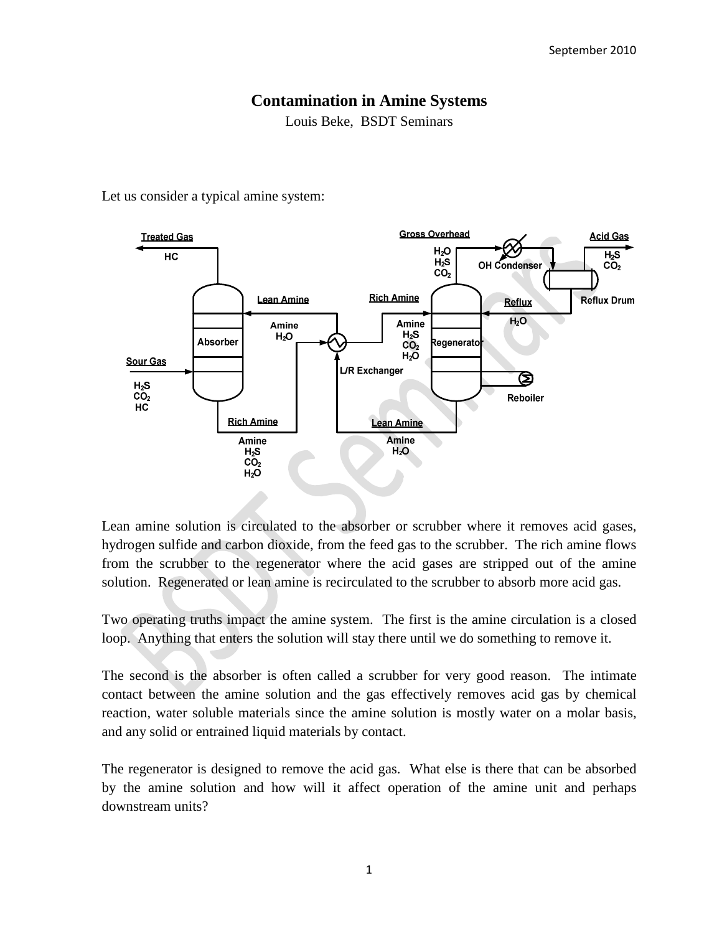# **Contamination in Amine Systems**

Louis Beke, BSDT Seminars

Let us consider a typical amine system:



Lean amine solution is circulated to the absorber or scrubber where it removes acid gases, hydrogen sulfide and carbon dioxide, from the feed gas to the scrubber. The rich amine flows from the scrubber to the regenerator where the acid gases are stripped out of the amine solution. Regenerated or lean amine is recirculated to the scrubber to absorb more acid gas.

Two operating truths impact the amine system. The first is the amine circulation is a closed loop. Anything that enters the solution will stay there until we do something to remove it.

The second is the absorber is often called a scrubber for very good reason. The intimate contact between the amine solution and the gas effectively removes acid gas by chemical reaction, water soluble materials since the amine solution is mostly water on a molar basis, and any solid or entrained liquid materials by contact.

The regenerator is designed to remove the acid gas. What else is there that can be absorbed by the amine solution and how will it affect operation of the amine unit and perhaps downstream units?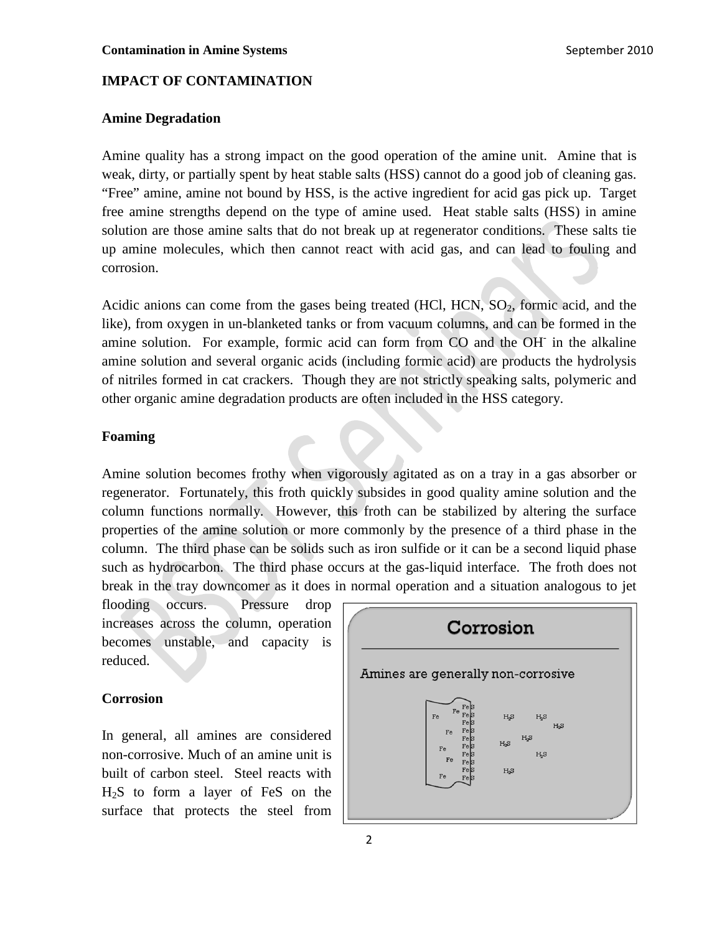# **IMPACT OF CONTAMINATION**

#### **Amine Degradation**

Amine quality has a strong impact on the good operation of the amine unit. Amine that is weak, dirty, or partially spent by heat stable salts (HSS) cannot do a good job of cleaning gas. "Free" amine, amine not bound by HSS, is the active ingredient for acid gas pick up. Target free amine strengths depend on the type of amine used. Heat stable salts (HSS) in amine solution are those amine salts that do not break up at regenerator conditions. These salts tie up amine molecules, which then cannot react with acid gas, and can lead to fouling and corrosion.

Acidic anions can come from the gases being treated (HCl, HCN,  $SO<sub>2</sub>$ , formic acid, and the like), from oxygen in un-blanketed tanks or from vacuum columns, and can be formed in the amine solution. For example, formic acid can form from CO and the OH in the alkaline amine solution and several organic acids (including formic acid) are products the hydrolysis of nitriles formed in cat crackers. Though they are not strictly speaking salts, polymeric and other organic amine degradation products are often included in the HSS category.

# **Foaming**

Amine solution becomes frothy when vigorously agitated as on a tray in a gas absorber or regenerator. Fortunately, this froth quickly subsides in good quality amine solution and the column functions normally. However, this froth can be stabilized by altering the surface properties of the amine solution or more commonly by the presence of a third phase in the column. The third phase can be solids such as iron sulfide or it can be a second liquid phase such as hydrocarbon. The third phase occurs at the gas-liquid interface. The froth does not break in the tray downcomer as it does in normal operation and a situation analogous to jet

flooding occurs. Pressure drop increases across the column, operation becomes unstable, and capacity is reduced.

### **Corrosion**

In general, all amines are considered non-corrosive. Much of an amine unit is built of carbon steel. Steel reacts with H2S to form a layer of FeS on the surface that protects the steel from

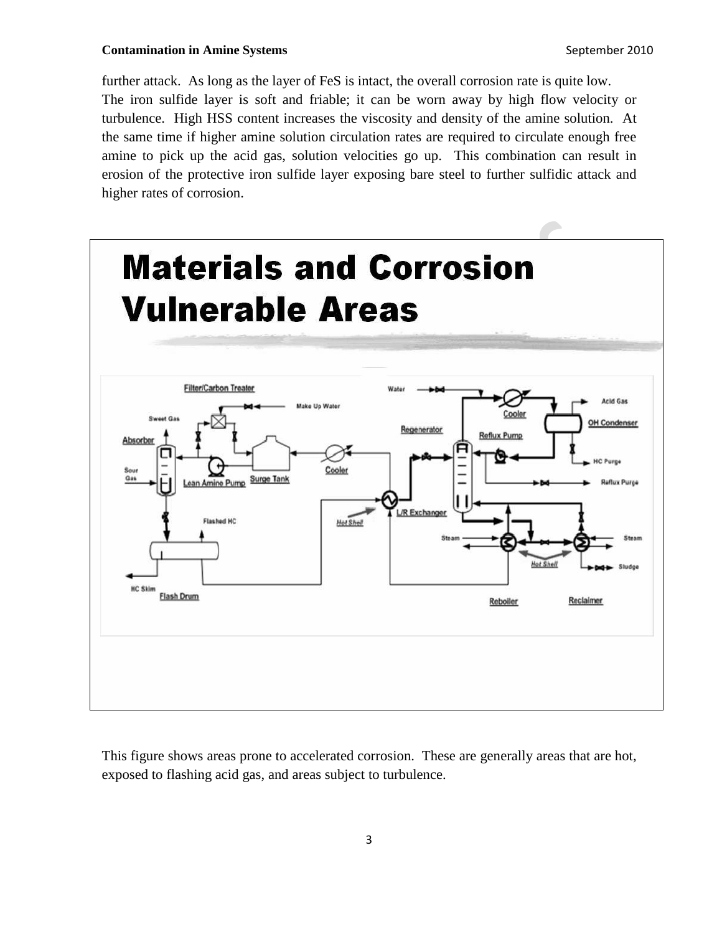#### **Contamination in Amine Systems** September 2010

further attack. As long as the layer of FeS is intact, the overall corrosion rate is quite low. The iron sulfide layer is soft and friable; it can be worn away by high flow velocity or turbulence. High HSS content increases the viscosity and density of the amine solution. At the same time if higher amine solution circulation rates are required to circulate enough free amine to pick up the acid gas, solution velocities go up. This combination can result in erosion of the protective iron sulfide layer exposing bare steel to further sulfidic attack and higher rates of corrosion.



This figure shows areas prone to accelerated corrosion. These are generally areas that are hot, exposed to flashing acid gas, and areas subject to turbulence.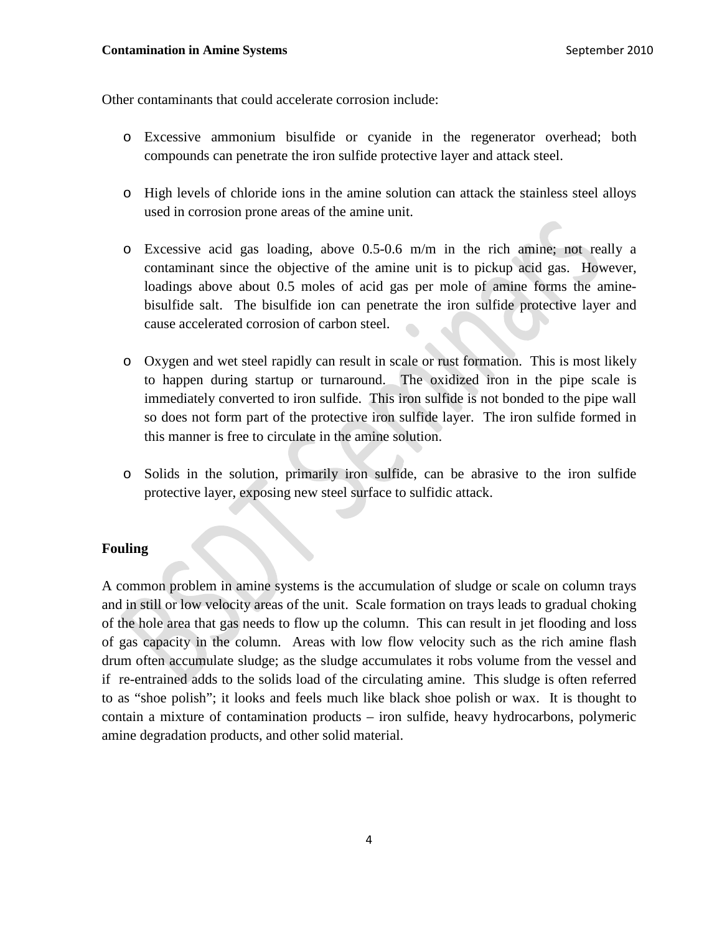Other contaminants that could accelerate corrosion include:

- o Excessive ammonium bisulfide or cyanide in the regenerator overhead; both compounds can penetrate the iron sulfide protective layer and attack steel.
- o High levels of chloride ions in the amine solution can attack the stainless steel alloys used in corrosion prone areas of the amine unit.
- o Excessive acid gas loading, above 0.5-0.6 m/m in the rich amine; not really a contaminant since the objective of the amine unit is to pickup acid gas. However, loadings above about 0.5 moles of acid gas per mole of amine forms the aminebisulfide salt. The bisulfide ion can penetrate the iron sulfide protective layer and cause accelerated corrosion of carbon steel.
- o Oxygen and wet steel rapidly can result in scale or rust formation. This is most likely to happen during startup or turnaround. The oxidized iron in the pipe scale is immediately converted to iron sulfide. This iron sulfide is not bonded to the pipe wall so does not form part of the protective iron sulfide layer. The iron sulfide formed in this manner is free to circulate in the amine solution.
- o Solids in the solution, primarily iron sulfide, can be abrasive to the iron sulfide protective layer, exposing new steel surface to sulfidic attack.

### **Fouling**

A common problem in amine systems is the accumulation of sludge or scale on column trays and in still or low velocity areas of the unit. Scale formation on trays leads to gradual choking of the hole area that gas needs to flow up the column. This can result in jet flooding and loss of gas capacity in the column. Areas with low flow velocity such as the rich amine flash drum often accumulate sludge; as the sludge accumulates it robs volume from the vessel and if re-entrained adds to the solids load of the circulating amine. This sludge is often referred to as "shoe polish"; it looks and feels much like black shoe polish or wax. It is thought to contain a mixture of contamination products – iron sulfide, heavy hydrocarbons, polymeric amine degradation products, and other solid material.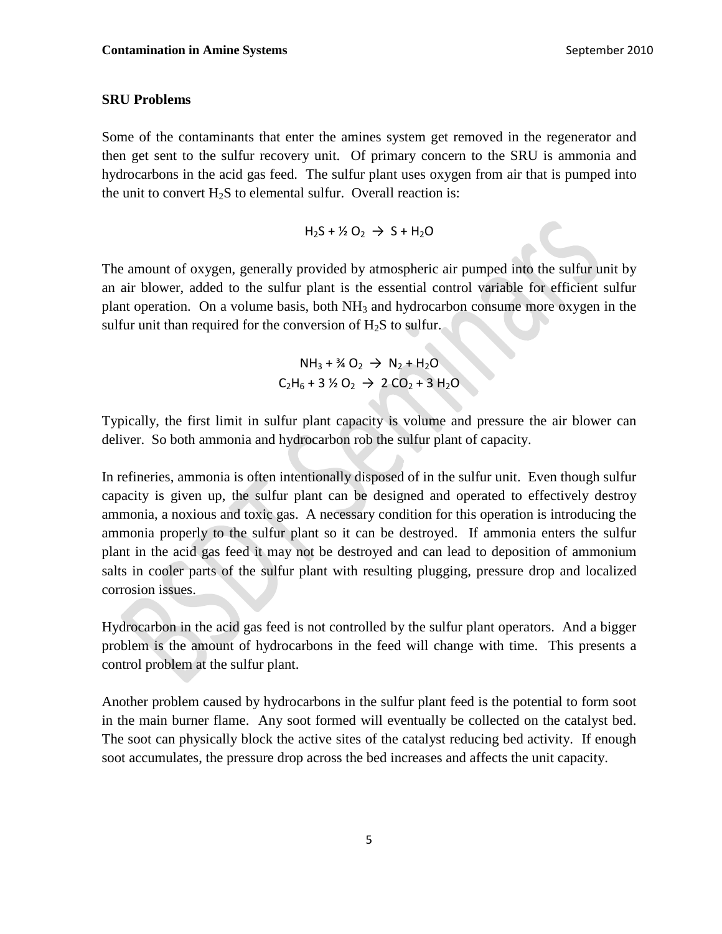# **SRU Problems**

Some of the contaminants that enter the amines system get removed in the regenerator and then get sent to the sulfur recovery unit. Of primary concern to the SRU is ammonia and hydrocarbons in the acid gas feed. The sulfur plant uses oxygen from air that is pumped into the unit to convert  $H_2S$  to elemental sulfur. Overall reaction is:

 $H_2S + Y_2O_2 \rightarrow S + H_2O$ 

The amount of oxygen, generally provided by atmospheric air pumped into the sulfur unit by an air blower, added to the sulfur plant is the essential control variable for efficient sulfur plant operation. On a volume basis, both  $NH_3$  and hydrocarbon consume more oxygen in the sulfur unit than required for the conversion of  $H_2S$  to sulfur.

$$
NH_3 + \frac{3}{4}O_2 \rightarrow N_2 + H_2O
$$
  

$$
C_2H_6 + 3 \frac{1}{2}O_2 \rightarrow 2 CO_2 + 3 H_2O
$$

Typically, the first limit in sulfur plant capacity is volume and pressure the air blower can deliver. So both ammonia and hydrocarbon rob the sulfur plant of capacity.

In refineries, ammonia is often intentionally disposed of in the sulfur unit. Even though sulfur capacity is given up, the sulfur plant can be designed and operated to effectively destroy ammonia, a noxious and toxic gas. A necessary condition for this operation is introducing the ammonia properly to the sulfur plant so it can be destroyed. If ammonia enters the sulfur plant in the acid gas feed it may not be destroyed and can lead to deposition of ammonium salts in cooler parts of the sulfur plant with resulting plugging, pressure drop and localized corrosion issues.

Hydrocarbon in the acid gas feed is not controlled by the sulfur plant operators. And a bigger problem is the amount of hydrocarbons in the feed will change with time. This presents a control problem at the sulfur plant.

Another problem caused by hydrocarbons in the sulfur plant feed is the potential to form soot in the main burner flame. Any soot formed will eventually be collected on the catalyst bed. The soot can physically block the active sites of the catalyst reducing bed activity. If enough soot accumulates, the pressure drop across the bed increases and affects the unit capacity.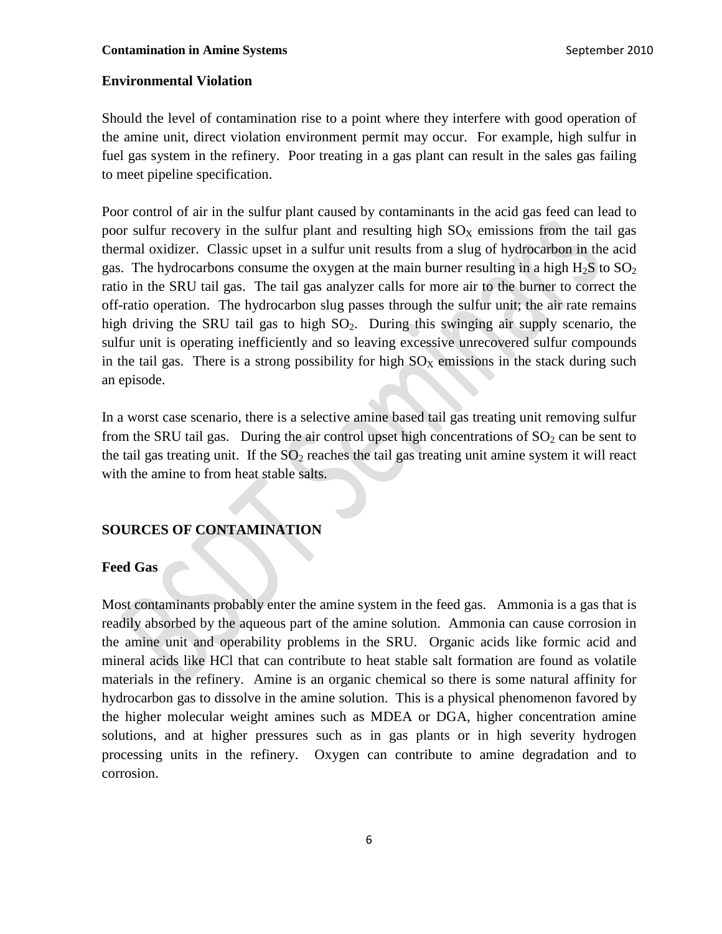# **Environmental Violation**

Should the level of contamination rise to a point where they interfere with good operation of the amine unit, direct violation environment permit may occur. For example, high sulfur in fuel gas system in the refinery. Poor treating in a gas plant can result in the sales gas failing to meet pipeline specification.

Poor control of air in the sulfur plant caused by contaminants in the acid gas feed can lead to poor sulfur recovery in the sulfur plant and resulting high  $SO<sub>X</sub>$  emissions from the tail gas thermal oxidizer. Classic upset in a sulfur unit results from a slug of hydrocarbon in the acid gas. The hydrocarbons consume the oxygen at the main burner resulting in a high  $H_2S$  to  $SO_2$ ratio in the SRU tail gas. The tail gas analyzer calls for more air to the burner to correct the off-ratio operation. The hydrocarbon slug passes through the sulfur unit; the air rate remains high driving the SRU tail gas to high  $SO_2$ . During this swinging air supply scenario, the sulfur unit is operating inefficiently and so leaving excessive unrecovered sulfur compounds in the tail gas. There is a strong possibility for high  $SO<sub>X</sub>$  emissions in the stack during such an episode.

In a worst case scenario, there is a selective amine based tail gas treating unit removing sulfur from the SRU tail gas. During the air control upset high concentrations of  $SO_2$  can be sent to the tail gas treating unit. If the  $SO<sub>2</sub>$  reaches the tail gas treating unit amine system it will react with the amine to from heat stable salts.

#### **SOURCES OF CONTAMINATION**

#### **Feed Gas**

Most contaminants probably enter the amine system in the feed gas. Ammonia is a gas that is readily absorbed by the aqueous part of the amine solution. Ammonia can cause corrosion in the amine unit and operability problems in the SRU. Organic acids like formic acid and mineral acids like HCl that can contribute to heat stable salt formation are found as volatile materials in the refinery. Amine is an organic chemical so there is some natural affinity for hydrocarbon gas to dissolve in the amine solution. This is a physical phenomenon favored by the higher molecular weight amines such as MDEA or DGA, higher concentration amine solutions, and at higher pressures such as in gas plants or in high severity hydrogen processing units in the refinery. Oxygen can contribute to amine degradation and to corrosion.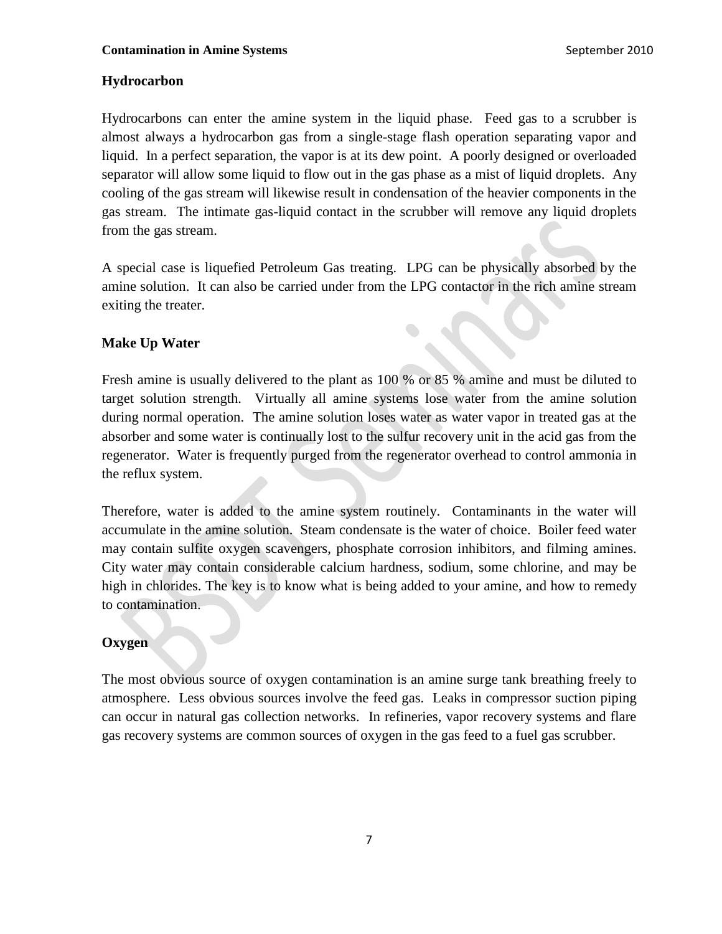# **Hydrocarbon**

Hydrocarbons can enter the amine system in the liquid phase. Feed gas to a scrubber is almost always a hydrocarbon gas from a single-stage flash operation separating vapor and liquid. In a perfect separation, the vapor is at its dew point. A poorly designed or overloaded separator will allow some liquid to flow out in the gas phase as a mist of liquid droplets. Any cooling of the gas stream will likewise result in condensation of the heavier components in the gas stream. The intimate gas-liquid contact in the scrubber will remove any liquid droplets from the gas stream.

A special case is liquefied Petroleum Gas treating. LPG can be physically absorbed by the amine solution. It can also be carried under from the LPG contactor in the rich amine stream exiting the treater.

# **Make Up Water**

Fresh amine is usually delivered to the plant as 100 % or 85 % amine and must be diluted to target solution strength. Virtually all amine systems lose water from the amine solution during normal operation. The amine solution loses water as water vapor in treated gas at the absorber and some water is continually lost to the sulfur recovery unit in the acid gas from the regenerator. Water is frequently purged from the regenerator overhead to control ammonia in the reflux system.

Therefore, water is added to the amine system routinely. Contaminants in the water will accumulate in the amine solution. Steam condensate is the water of choice. Boiler feed water may contain sulfite oxygen scavengers, phosphate corrosion inhibitors, and filming amines. City water may contain considerable calcium hardness, sodium, some chlorine, and may be high in chlorides. The key is to know what is being added to your amine, and how to remedy to contamination.

# **Oxygen**

The most obvious source of oxygen contamination is an amine surge tank breathing freely to atmosphere. Less obvious sources involve the feed gas. Leaks in compressor suction piping can occur in natural gas collection networks. In refineries, vapor recovery systems and flare gas recovery systems are common sources of oxygen in the gas feed to a fuel gas scrubber.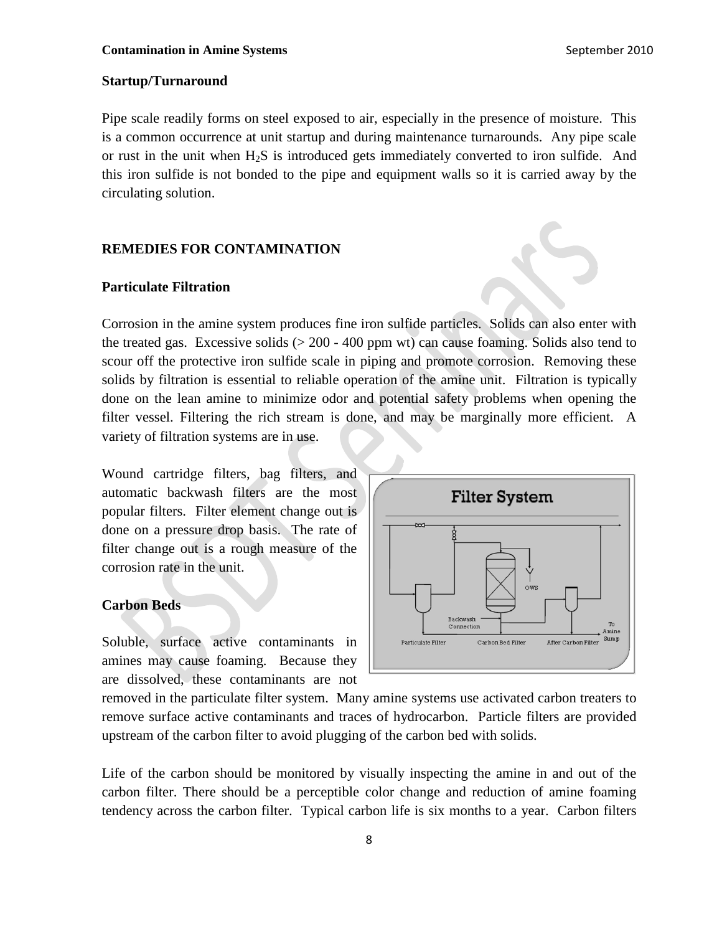### **Startup/Turnaround**

Pipe scale readily forms on steel exposed to air, especially in the presence of moisture. This is a common occurrence at unit startup and during maintenance turnarounds. Any pipe scale or rust in the unit when  $H_2S$  is introduced gets immediately converted to iron sulfide. And this iron sulfide is not bonded to the pipe and equipment walls so it is carried away by the circulating solution.

# **REMEDIES FOR CONTAMINATION**

#### **Particulate Filtration**

Corrosion in the amine system produces fine iron sulfide particles. Solids can also enter with the treated gas. Excessive solids  $(> 200 - 400$  ppm wt) can cause foaming. Solids also tend to scour off the protective iron sulfide scale in piping and promote corrosion. Removing these solids by filtration is essential to reliable operation of the amine unit. Filtration is typically done on the lean amine to minimize odor and potential safety problems when opening the filter vessel. Filtering the rich stream is done, and may be marginally more efficient. A variety of filtration systems are in use.

Wound cartridge filters, bag filters, and automatic backwash filters are the most popular filters. Filter element change out is done on a pressure drop basis. The rate of filter change out is a rough measure of the corrosion rate in the unit.

#### **Carbon Beds**

Soluble, surface active contaminants in amines may cause foaming. Because they are dissolved, these contaminants are not



removed in the particulate filter system. Many amine systems use activated carbon treaters to remove surface active contaminants and traces of hydrocarbon. Particle filters are provided upstream of the carbon filter to avoid plugging of the carbon bed with solids.

Life of the carbon should be monitored by visually inspecting the amine in and out of the carbon filter. There should be a perceptible color change and reduction of amine foaming tendency across the carbon filter. Typical carbon life is six months to a year. Carbon filters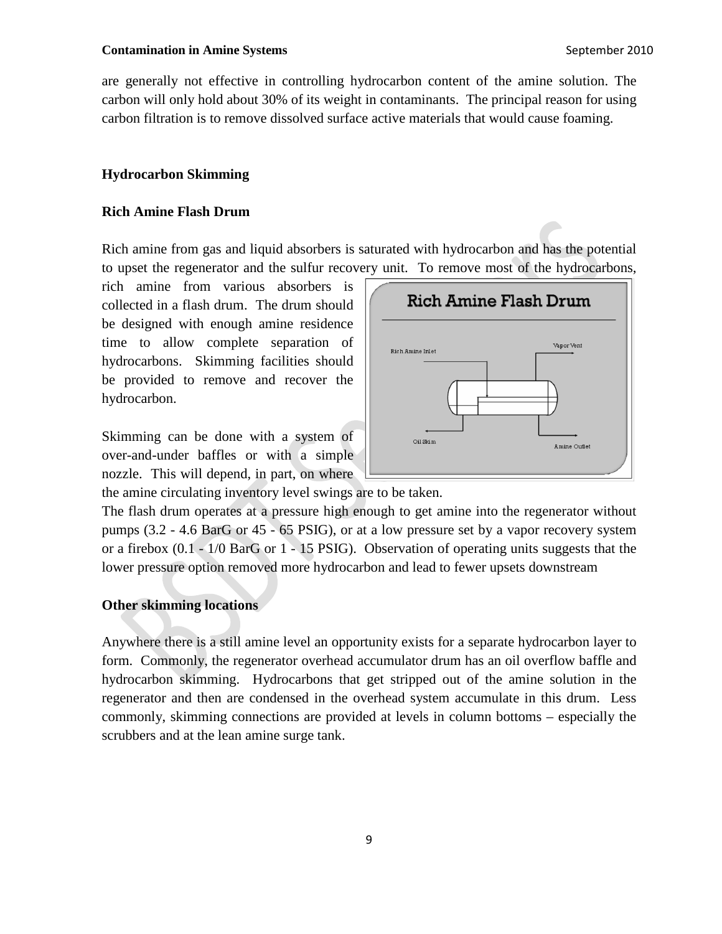#### **Contamination in Amine Systems** September 2010

are generally not effective in controlling hydrocarbon content of the amine solution. The carbon will only hold about 30% of its weight in contaminants. The principal reason for using carbon filtration is to remove dissolved surface active materials that would cause foaming.

# **Hydrocarbon Skimming**

### **Rich Amine Flash Drum**

Rich amine from gas and liquid absorbers is saturated with hydrocarbon and has the potential to upset the regenerator and the sulfur recovery unit. To remove most of the hydrocarbons,

rich amine from various absorbers is collected in a flash drum. The drum should be designed with enough amine residence time to allow complete separation of hydrocarbons. Skimming facilities should be provided to remove and recover the hydrocarbon.

Skimming can be done with a system of over-and-under baffles or with a simple nozzle. This will depend, in part, on where



the amine circulating inventory level swings are to be taken.

The flash drum operates at a pressure high enough to get amine into the regenerator without pumps (3.2 - 4.6 BarG or 45 - 65 PSIG), or at a low pressure set by a vapor recovery system or a firebox (0.1 - 1/0 BarG or 1 - 15 PSIG). Observation of operating units suggests that the lower pressure option removed more hydrocarbon and lead to fewer upsets downstream

# **Other skimming locations**

Anywhere there is a still amine level an opportunity exists for a separate hydrocarbon layer to form. Commonly, the regenerator overhead accumulator drum has an oil overflow baffle and hydrocarbon skimming. Hydrocarbons that get stripped out of the amine solution in the regenerator and then are condensed in the overhead system accumulate in this drum. Less commonly, skimming connections are provided at levels in column bottoms – especially the scrubbers and at the lean amine surge tank.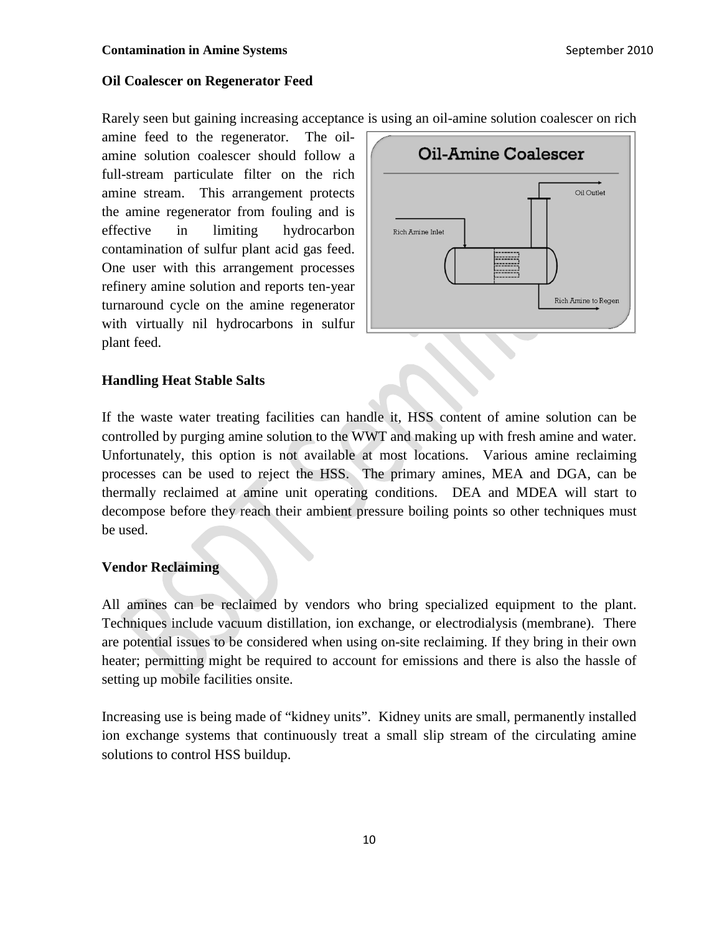## **Oil Coalescer on Regenerator Feed**

Rarely seen but gaining increasing acceptance is using an oil-amine solution coalescer on rich

amine feed to the regenerator. The oilamine solution coalescer should follow a full-stream particulate filter on the rich amine stream. This arrangement protects the amine regenerator from fouling and is effective in limiting hydrocarbon contamination of sulfur plant acid gas feed. One user with this arrangement processes refinery amine solution and reports ten-year turnaround cycle on the amine regenerator with virtually nil hydrocarbons in sulfur plant feed.



## **Handling Heat Stable Salts**

If the waste water treating facilities can handle it, HSS content of amine solution can be controlled by purging amine solution to the WWT and making up with fresh amine and water. Unfortunately, this option is not available at most locations. Various amine reclaiming processes can be used to reject the HSS. The primary amines, MEA and DGA, can be thermally reclaimed at amine unit operating conditions. DEA and MDEA will start to decompose before they reach their ambient pressure boiling points so other techniques must be used.

#### **Vendor Reclaiming**

All amines can be reclaimed by vendors who bring specialized equipment to the plant. Techniques include vacuum distillation, ion exchange, or electrodialysis (membrane). There are potential issues to be considered when using on-site reclaiming. If they bring in their own heater; permitting might be required to account for emissions and there is also the hassle of setting up mobile facilities onsite.

Increasing use is being made of "kidney units". Kidney units are small, permanently installed ion exchange systems that continuously treat a small slip stream of the circulating amine solutions to control HSS buildup.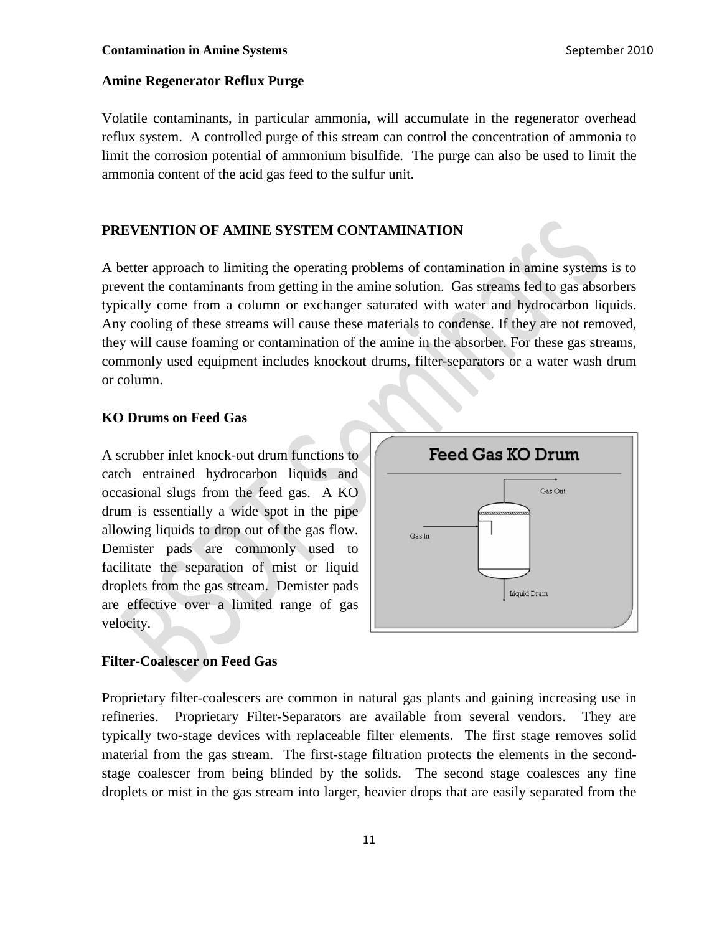# **Amine Regenerator Reflux Purge**

Volatile contaminants, in particular ammonia, will accumulate in the regenerator overhead reflux system. A controlled purge of this stream can control the concentration of ammonia to limit the corrosion potential of ammonium bisulfide. The purge can also be used to limit the ammonia content of the acid gas feed to the sulfur unit.

### **PREVENTION OF AMINE SYSTEM CONTAMINATION**

A better approach to limiting the operating problems of contamination in amine systems is to prevent the contaminants from getting in the amine solution. Gas streams fed to gas absorbers typically come from a column or exchanger saturated with water and hydrocarbon liquids. Any cooling of these streams will cause these materials to condense. If they are not removed, they will cause foaming or contamination of the amine in the absorber. For these gas streams, commonly used equipment includes knockout drums, filter-separators or a water wash drum or column.

# **KO Drums on Feed Gas**

A scrubber inlet knock-out drum functions to catch entrained hydrocarbon liquids and occasional slugs from the feed gas. A KO drum is essentially a wide spot in the pipe allowing liquids to drop out of the gas flow. Demister pads are commonly used to facilitate the separation of mist or liquid droplets from the gas stream. Demister pads are effective over a limited range of gas velocity.



# **Filter-Coalescer on Feed Gas**

Proprietary filter-coalescers are common in natural gas plants and gaining increasing use in refineries. Proprietary Filter-Separators are available from several vendors. They are typically two-stage devices with replaceable filter elements. The first stage removes solid material from the gas stream. The first-stage filtration protects the elements in the secondstage coalescer from being blinded by the solids. The second stage coalesces any fine droplets or mist in the gas stream into larger, heavier drops that are easily separated from the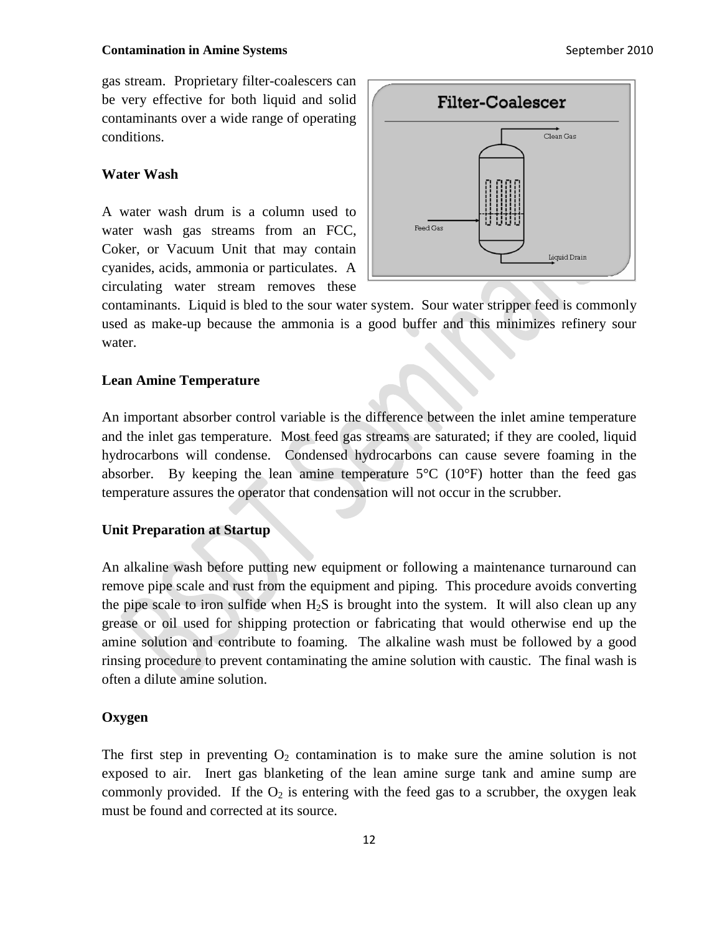#### **Contamination in Amine Systems** September 2010

gas stream. Proprietary filter-coalescers can be very effective for both liquid and solid contaminants over a wide range of operating conditions.

#### **Water Wash**

A water wash drum is a column used to water wash gas streams from an FCC, Coker, or Vacuum Unit that may contain cyanides, acids, ammonia or particulates. A circulating water stream removes these



contaminants. Liquid is bled to the sour water system. Sour water stripper feed is commonly used as make-up because the ammonia is a good buffer and this minimizes refinery sour water.

# **Lean Amine Temperature**

An important absorber control variable is the difference between the inlet amine temperature and the inlet gas temperature. Most feed gas streams are saturated; if they are cooled, liquid hydrocarbons will condense. Condensed hydrocarbons can cause severe foaming in the absorber. By keeping the lean amine temperature  $5^{\circ}$ C (10 $^{\circ}$ F) hotter than the feed gas temperature assures the operator that condensation will not occur in the scrubber.

# **Unit Preparation at Startup**

An alkaline wash before putting new equipment or following a maintenance turnaround can remove pipe scale and rust from the equipment and piping. This procedure avoids converting the pipe scale to iron sulfide when  $H_2S$  is brought into the system. It will also clean up any grease or oil used for shipping protection or fabricating that would otherwise end up the amine solution and contribute to foaming. The alkaline wash must be followed by a good rinsing procedure to prevent contaminating the amine solution with caustic. The final wash is often a dilute amine solution.

# **Oxygen**

The first step in preventing  $O_2$  contamination is to make sure the amine solution is not exposed to air. Inert gas blanketing of the lean amine surge tank and amine sump are commonly provided. If the  $O_2$  is entering with the feed gas to a scrubber, the oxygen leak must be found and corrected at its source.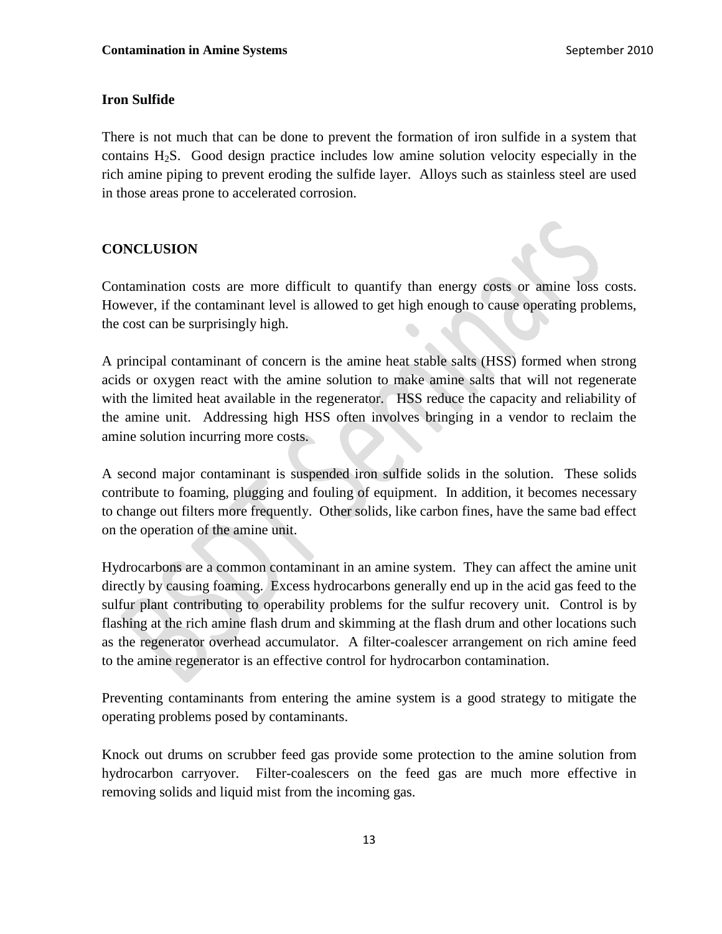# **Iron Sulfide**

There is not much that can be done to prevent the formation of iron sulfide in a system that contains H2S. Good design practice includes low amine solution velocity especially in the rich amine piping to prevent eroding the sulfide layer. Alloys such as stainless steel are used in those areas prone to accelerated corrosion.

# **CONCLUSION**

Contamination costs are more difficult to quantify than energy costs or amine loss costs. However, if the contaminant level is allowed to get high enough to cause operating problems, the cost can be surprisingly high.

A principal contaminant of concern is the amine heat stable salts (HSS) formed when strong acids or oxygen react with the amine solution to make amine salts that will not regenerate with the limited heat available in the regenerator. HSS reduce the capacity and reliability of the amine unit. Addressing high HSS often involves bringing in a vendor to reclaim the amine solution incurring more costs.

A second major contaminant is suspended iron sulfide solids in the solution. These solids contribute to foaming, plugging and fouling of equipment. In addition, it becomes necessary to change out filters more frequently. Other solids, like carbon fines, have the same bad effect on the operation of the amine unit.

Hydrocarbons are a common contaminant in an amine system. They can affect the amine unit directly by causing foaming. Excess hydrocarbons generally end up in the acid gas feed to the sulfur plant contributing to operability problems for the sulfur recovery unit. Control is by flashing at the rich amine flash drum and skimming at the flash drum and other locations such as the regenerator overhead accumulator. A filter-coalescer arrangement on rich amine feed to the amine regenerator is an effective control for hydrocarbon contamination.

Preventing contaminants from entering the amine system is a good strategy to mitigate the operating problems posed by contaminants.

Knock out drums on scrubber feed gas provide some protection to the amine solution from hydrocarbon carryover. Filter-coalescers on the feed gas are much more effective in removing solids and liquid mist from the incoming gas.